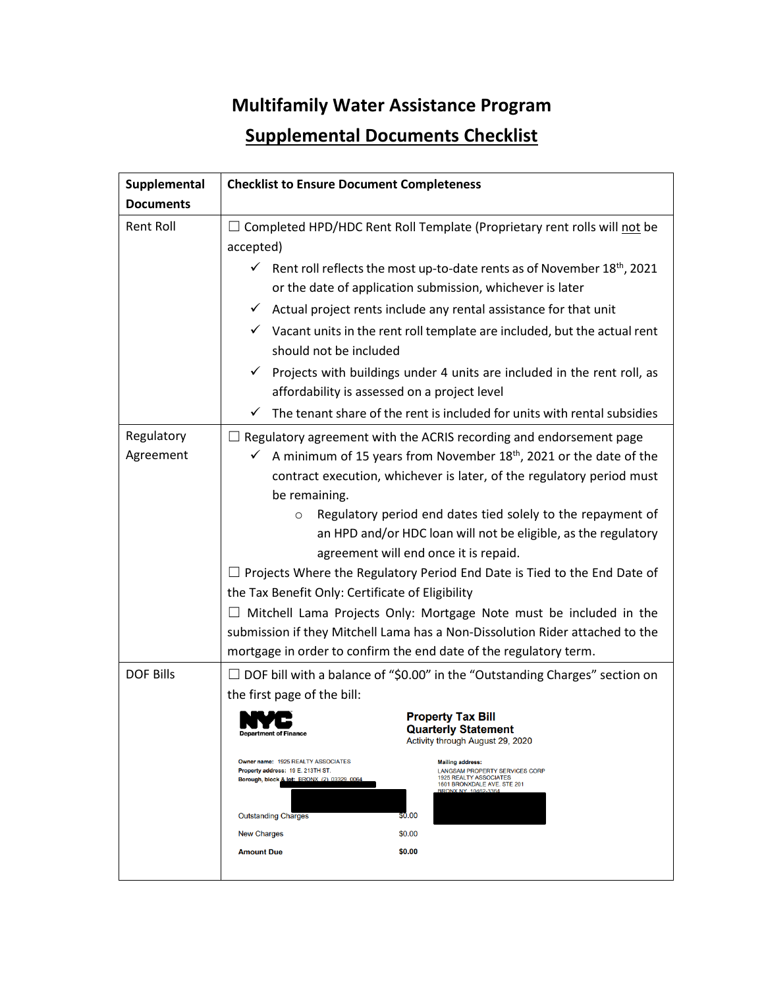## **Multifamily Water Assistance Program Supplemental Documents Checklist**

| Supplemental            | <b>Checklist to Ensure Document Completeness</b>                                                                                                                                                                                                                                                                                                                                                                                                                                                                                                                                                                                                                                                                                                                                                                         |
|-------------------------|--------------------------------------------------------------------------------------------------------------------------------------------------------------------------------------------------------------------------------------------------------------------------------------------------------------------------------------------------------------------------------------------------------------------------------------------------------------------------------------------------------------------------------------------------------------------------------------------------------------------------------------------------------------------------------------------------------------------------------------------------------------------------------------------------------------------------|
| <b>Documents</b>        |                                                                                                                                                                                                                                                                                                                                                                                                                                                                                                                                                                                                                                                                                                                                                                                                                          |
| <b>Rent Roll</b>        | $\Box$ Completed HPD/HDC Rent Roll Template (Proprietary rent rolls will not be<br>accepted)                                                                                                                                                                                                                                                                                                                                                                                                                                                                                                                                                                                                                                                                                                                             |
|                         | Rent roll reflects the most up-to-date rents as of November 18 <sup>th</sup> , 2021<br>✓<br>or the date of application submission, whichever is later<br>Actual project rents include any rental assistance for that unit<br>✓<br>$\checkmark$ Vacant units in the rent roll template are included, but the actual rent<br>should not be included<br>$\checkmark$ Projects with buildings under 4 units are included in the rent roll, as<br>affordability is assessed on a project level                                                                                                                                                                                                                                                                                                                                |
|                         | The tenant share of the rent is included for units with rental subsidies<br>✓                                                                                                                                                                                                                                                                                                                                                                                                                                                                                                                                                                                                                                                                                                                                            |
| Regulatory<br>Agreement | $\Box$ Regulatory agreement with the ACRIS recording and endorsement page<br>A minimum of 15 years from November 18 <sup>th</sup> , 2021 or the date of the<br>✓<br>contract execution, whichever is later, of the regulatory period must<br>be remaining.<br>Regulatory period end dates tied solely to the repayment of<br>$\circ$<br>an HPD and/or HDC loan will not be eligible, as the regulatory<br>agreement will end once it is repaid.<br>$\Box$ Projects Where the Regulatory Period End Date is Tied to the End Date of<br>the Tax Benefit Only: Certificate of Eligibility<br>$\Box$ Mitchell Lama Projects Only: Mortgage Note must be included in the<br>submission if they Mitchell Lama has a Non-Dissolution Rider attached to the<br>mortgage in order to confirm the end date of the regulatory term. |
| <b>DOF Bills</b>        | $\Box$ DOF bill with a balance of "\$0.00" in the "Outstanding Charges" section on<br>the first page of the bill:<br><b>Property Tax Bill</b><br><b>Quarterly Statement</b><br><b>Department of Finance</b><br>Activity through August 29, 2020<br>Owner name: 1925 REALTY ASSOCIATES<br><b>Mailing address:</b><br>Property address: 19 E. 213TH ST.<br>LANGSAM PROPERTY SERVICES CORP<br>1925 REALTY ASSOCIATES<br>Borough, block & lot: BRONX (2), 03329, 0064<br>1601 BRONXDALE AVE. STE 201<br><b>BRONX NY 10462-3364</b><br>\$0.00<br><b>Outstanding Charges</b><br>\$0.00<br><b>New Charges</b><br><b>Amount Due</b><br>\$0.00                                                                                                                                                                                    |